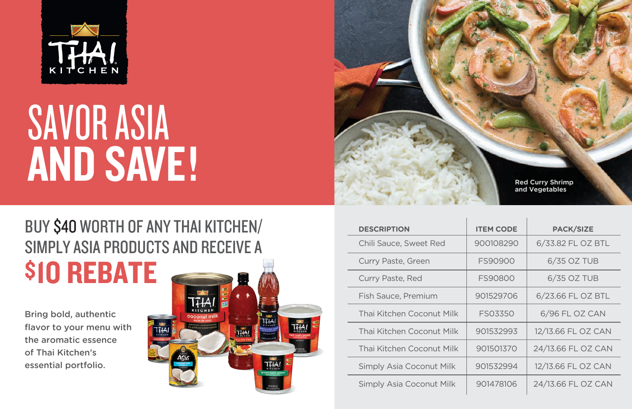

# SAVOR ASIA AND SAVE!

## BUY \$40 WORTH OF ANY THAI KITCHEN/ SIMPLY ASIA PRODUCTS AND RECEIVE A \$10 REBATE

Bring bold, authentic flavor to your menu with the aromatic essence of Thai Kitchen's essential portfolio.





| <b>DESCRIPTION</b>        | <b>ITEM CODE</b> | <b>PACK/SIZE</b>   |
|---------------------------|------------------|--------------------|
| Chili Sauce, Sweet Red    | 900108290        | 6/33.82 FL OZ BTL  |
| Curry Paste, Green        | FS90900          | 6/35 OZ TUB        |
| Curry Paste, Red          | FS90800          | 6/35 OZ TUB        |
| Fish Sauce, Premium       | 901529706        | 6/23.66 FL OZ BTL  |
| Thai Kitchen Coconut Milk | <b>FS03350</b>   | 6/96 FL OZ CAN     |
| Thai Kitchen Coconut Milk | 901532993        | 12/13.66 FL OZ CAN |
| Thai Kitchen Coconut Milk | 901501370        | 24/13.66 FL OZ CAN |
| Simply Asia Coconut Milk  | 901532994        | 12/13.66 FL OZ CAN |
| Simply Asia Coconut Milk  | 901478106        | 24/13.66 FL OZ CAN |